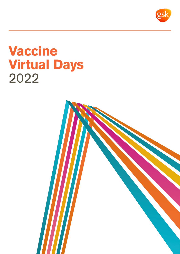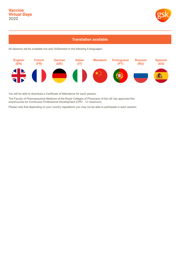

## **Translation available**

All sessions will be available live and OnDemand in the following 8 languages:



You will be able to download a Certificate of Attendance for each session.

The Faculty of Pharmaceutical Medicine of the Royal Colleges of Physicians of the UK has approved this event/course for Continuous Professional Development (CPD - 12 maximum).

Please note that depending on your country regulations you may not be able to participate in each session.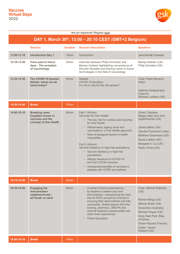**18:00-18:10 Break** 10min



#### **Not yet registered? Register [here!](https://onlinexperiences.com/Launch/QReg.htm?ShowUUID=FF7ED214-FC1F-4C3F-93EA-01B771C41D68)**

| DAY 1, March 30th, 13:00 - 20:10 CEST (GMT+2 Belgium) |                                                                                           |                   |                                                                                                                                                                                                                                                                                                                                                                                                                                                                                                   |                                                                                                                                                                                                                                       |
|-------------------------------------------------------|-------------------------------------------------------------------------------------------|-------------------|---------------------------------------------------------------------------------------------------------------------------------------------------------------------------------------------------------------------------------------------------------------------------------------------------------------------------------------------------------------------------------------------------------------------------------------------------------------------------------------------------|---------------------------------------------------------------------------------------------------------------------------------------------------------------------------------------------------------------------------------------|
|                                                       | <b>Session</b>                                                                            | <b>Duration</b>   | <b>Session Description</b>                                                                                                                                                                                                                                                                                                                                                                                                                                                                        | <b>Speakers</b>                                                                                                                                                                                                                       |
| 13:00-13:10                                           | <b>Introduction Day 1</b>                                                                 | 10 <sub>min</sub> | Introduction                                                                                                                                                                                                                                                                                                                                                                                                                                                                                      | Jane Barratt (Canada)                                                                                                                                                                                                                 |
| 13:10-13:30                                           | From past to future<br>days - The evolution<br>of vaccinology                             | 20min             | Interview between Philip Dormitzer and<br>Barney Graham highlighting cornerstones of<br>the past decades and sharing views on future<br>technologies in the field of vaccinology                                                                                                                                                                                                                                                                                                                  | Barney Graham (US)<br>Philip Dormitzer (US)                                                                                                                                                                                           |
| 13:30-14:30                                           | The COVID-19 booster<br>debate: where do we<br>stand today?                               | 60 <sub>min</sub> | Debate:<br>COVID-19 boosters:<br>For all or only for the risk groups?                                                                                                                                                                                                                                                                                                                                                                                                                             | Chair: Paolo Bonanni<br>(Italy)<br>Adamos Hadjipanayis<br>(Cyprus)<br>Shamez Ladhani (UK)                                                                                                                                             |
| 14:30-14:40                                           | <b>Break</b>                                                                              | 10 <sub>min</sub> |                                                                                                                                                                                                                                                                                                                                                                                                                                                                                                   |                                                                                                                                                                                                                                       |
| 14:40-16:10                                           | <b>Breaking news:</b><br>forgotten issues in<br>vaccines and the<br>concept of One Health | 90 <sub>min</sub> | Part 1 (45min):<br>Vaccines for One Health<br>- The key role for nucleic acid vaccines<br>for One Health<br>Inflammatory ageing clock and<br>vaccinations: a One Health approach<br>Role of biological factors in health<br>inequalities<br>Part 2 (45min):<br>Vaccine hesitancy in high-risk populations<br>- Vaccine hesitancy in high-risk<br>populations<br>- Allergic reactions to COVID-19<br>and non-COVID vaccines<br>Unexpected benefits of vaccines in<br>patients with COPD and asthma | Chairs: Stefania<br>Maggi (Italy) and John<br>Oppenheimer (US)<br>James Baker (US)<br>Claudio Franceschi (Italy)<br>Matthew Greenhawt (US)<br>David Leather (UK)<br>Margaret A. Liu (US)<br>Paolo Vineis (UK)                         |
| 16:10-16:30                                           | <b>Break</b>                                                                              | 20 <sub>min</sub> |                                                                                                                                                                                                                                                                                                                                                                                                                                                                                                   |                                                                                                                                                                                                                                       |
| 16:30-18:00                                           | <b>Engaging the</b><br>immunisation<br>neighbourhood-<br>all hands on deck                | 90 <sub>min</sub> | - A series of short presentations<br>by leaders in patient care and<br>immunisation, championing the view<br>that all HCPs should be involved in<br>ensuring their adult patients are fully<br>vaccinated. Global experts from the<br>nursing, pharmacy, OBGYN and<br>internal medicine subspecialties will<br>share their experiences<br>Panel discussion                                                                                                                                        | <b>Chair: Mitchel Rothholz</b><br>(US)<br>Richard Beigi (US)<br>Melody Butler (US)<br>Sonja Elia (Australia)<br>Michael Hogue (US)<br>Sung Taek Park (Rep.<br>of Korea)<br>Olivier Rozaire (France)<br>Cedric "Jamie"<br>Rutland (US) |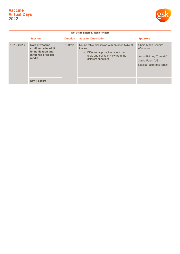

| Not yet registered? Register here! |                                                                                            |                 |                                                                                                                                                     |                                                                                                             |
|------------------------------------|--------------------------------------------------------------------------------------------|-----------------|-----------------------------------------------------------------------------------------------------------------------------------------------------|-------------------------------------------------------------------------------------------------------------|
|                                    | <b>Session</b>                                                                             | <b>Duration</b> | <b>Session Description</b>                                                                                                                          | <b>Speakers</b>                                                                                             |
| 18:10-20:10                        | Role of vaccine<br>confidence in adult<br>immunisation and<br>influence of social<br>media | $120$ min       | Round table discussion with an open Q&A at<br>the end:<br>Different approaches about the<br>topic and points of view from the<br>different speakers | Chair: Marla Shapiro<br>(Canada)<br>Anna Blakney (Canada)<br>Jamie Foehl (US)<br>Natália Pasternak (Brazil) |
|                                    | Day 1 closure                                                                              |                 |                                                                                                                                                     |                                                                                                             |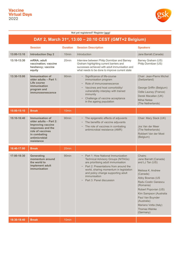

#### **Not yet registered? Register [here!](https://onlinexperiences.com/Launch/QReg.htm?ShowUUID=FF7ED214-FC1F-4C3F-93EA-01B771C41D68)**

## **DAY 2, March 31st, 13:00 – 20:10 CEST (GMT+2 Belgium)**

|             | <b>Session</b>                                                                                                                                                | <b>Duration</b>   | <b>Session Description</b>                                                                                                                                                                                                                                                                   | <b>Speakers</b>                                                                                                                                                                                                                                                                                |
|-------------|---------------------------------------------------------------------------------------------------------------------------------------------------------------|-------------------|----------------------------------------------------------------------------------------------------------------------------------------------------------------------------------------------------------------------------------------------------------------------------------------------|------------------------------------------------------------------------------------------------------------------------------------------------------------------------------------------------------------------------------------------------------------------------------------------------|
| 13:00-13:10 | <b>Introduction Day 2</b>                                                                                                                                     | 10 <sub>min</sub> | Introduction                                                                                                                                                                                                                                                                                 | Jane Barratt (Canada)                                                                                                                                                                                                                                                                          |
| 13:10-13:30 | mRNA; adult<br>vaccination; vaccine<br>hesitancy; vaccine<br>equity                                                                                           | 20 <sub>min</sub> | Interview between Philip Dormitzer and Barney<br>Graham highlighting current barriers and<br>successes achieved with adult immunisation and<br>what needs to be done to improve current state                                                                                                | Barney Graham (US)<br>Philip Dormitzer (US)                                                                                                                                                                                                                                                    |
| 13:30-15:00 | <b>Immunisation of</b><br>older adults - Part 1:<br>Life course<br><i>immunisation</i><br>program and<br>immunosenescence                                     | 90 <sub>min</sub> | Significance of life-course<br>immunisation program<br>Role of immunosenescence<br>Vaccines and host comorbidity/<br>vulnerability interplay with trained<br>immunity<br>Challenge of vaccine acceptance<br>in the ageing population                                                         | Chair: Jean-Pierre Michel<br>(Switzerland)<br>George Griffin (Belgium)<br>Odile Launay (France)<br>Derek Macallan (UK)<br><b>Mihai Netea</b><br>(The Netherlands)                                                                                                                              |
| 15:00-15:10 | <b>Break</b>                                                                                                                                                  | 10 <sub>min</sub> |                                                                                                                                                                                                                                                                                              |                                                                                                                                                                                                                                                                                                |
| 15:10-16:40 | Immunisation of<br>older adults - Part 2:<br><b>Improving vaccine</b><br>responses and the<br>role of vaccines<br>in combating<br>antimicrobial<br>resistance | 90 <sub>min</sub> | The epigenetic effects of adjuvants<br>The benefits of vaccine adjuvants<br>The role of vaccines in combating<br>antimicrobial resistance (AMR)                                                                                                                                              | Chair: Mary Slack (UK)<br>Jos Van der Meer<br>(The Netherlands)<br>Robbert Van der Most<br>(Belgium)                                                                                                                                                                                           |
| 16:40-17:00 | <b>Break</b>                                                                                                                                                  | 20 <sub>min</sub> |                                                                                                                                                                                                                                                                                              |                                                                                                                                                                                                                                                                                                |
| 17:00-18:30 | Generating<br>momentum around<br>the world to<br>implement adult<br>immunisation                                                                              | 90 <sub>min</sub> | - Part 1: How National Immunization<br><b>Technical Advisory Groups (NITAGs)</b><br>are prioritising adult immunisation<br>Part 2: Presentations from around the<br>world, sharing momentum in legislation<br>and policy change supporting adult<br>immunisation<br>Part 3: Panel discussion | Chairs:<br>Jane Barratt (Canada)<br>and LJ Tan (US)<br>Melissa K. Andrew<br>(Canada)<br>Abby Bownas (US<br>Radu Costin Ganescu<br>(Romania)<br>Robert Popovian (US)<br>Kim Sampson (Australia<br>Paul Van Buynder<br>(Australia)<br>Mariano Votta (Italy)<br><b>Thomas Weinke</b><br>(Germany) |
| 18:30-18:40 | <b>Break</b>                                                                                                                                                  | 10 <sub>min</sub> |                                                                                                                                                                                                                                                                                              |                                                                                                                                                                                                                                                                                                |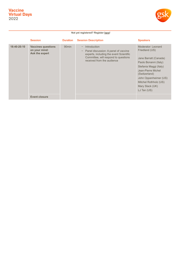

#### **Not yet registered? Register [here!](https://onlinexperiences.com/Launch/QReg.htm?ShowUUID=FF7ED214-FC1F-4C3F-93EA-01B771C41D68)**

|             | <b>Session</b>                                               | <b>Duration</b>   | <b>Session Description</b>                                                                                                                                            | <b>Speakers</b>                                                                                                                                                                                                                               |
|-------------|--------------------------------------------------------------|-------------------|-----------------------------------------------------------------------------------------------------------------------------------------------------------------------|-----------------------------------------------------------------------------------------------------------------------------------------------------------------------------------------------------------------------------------------------|
| 18:40-20:10 | <b>Vaccines questions</b><br>on your mind:<br>Ask the expert | 90 <sub>min</sub> | Introduction<br>Panel discussion: A panel of vaccine<br>experts, including the event Scientific<br>Committee, will respond to questions<br>received from the audience | Moderator: Leonard<br>Friedland (US)<br>Jane Barratt (Canada)<br>Paolo Bonanni (Italy)<br>Stefania Maggi (Italy)<br>Jean-Pierre Michel<br>(Switzerland)<br>John Oppenheimer (US)<br>Mitchel Rothholz (US)<br>Mary Slack (UK)<br>$LJ$ Tan (US) |
|             | Event closure                                                |                   |                                                                                                                                                                       |                                                                                                                                                                                                                                               |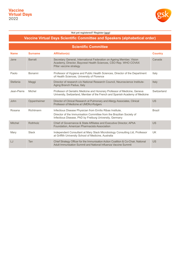

#### **Not yet registered? Register [here!](https://onlinexperiences.com/Launch/QReg.htm?ShowUUID=FF7ED214-FC1F-4C3F-93EA-01B771C41D68)**

## **Vaccine Virtual Days Scientific Committee and Speakers (alphabetical order)**

| <b>Scientific Committee</b> |                |                                                                                                                                                                                              |                |  |  |  |
|-----------------------------|----------------|----------------------------------------------------------------------------------------------------------------------------------------------------------------------------------------------|----------------|--|--|--|
| <b>Name</b>                 | <b>Surname</b> | <b>Affiliation(s)</b>                                                                                                                                                                        | <b>Country</b> |  |  |  |
| Jane                        | <b>Barratt</b> | Secretary General, International Federation on Ageing Member, Vision<br>Academy, Director, Baycrest Health Sciences, CSO Rep. WHO COVAX<br>Pillar vaccine strategy                           | Canada         |  |  |  |
| Paolo                       | Bonanni        | Professor of Hygiene and Public Health Sciences, Director of the Department<br>of Health Sciences, University of Florence                                                                    | Italy          |  |  |  |
| Stefania                    | Maggi          | Director of research c/o National Research Council, Neuroscience Institute-<br>Aging Branch Padua, Italy                                                                                     | Italy          |  |  |  |
| Jean-Pierre                 | Michel         | Professor of Geriatric Medicine and Honorary Professor of Medicine, Geneva<br>University, Switzerland, Member of the French and Spanish Academy of Medicine                                  | Switzerland    |  |  |  |
| John                        | Oppenheimer    | Director of Clinical Research at Pulmonary and Allergy Associates, Clinical<br>Professor of Medicine at UMDNJ-Rutgers                                                                        | <b>US</b>      |  |  |  |
| Rosana                      | Richtmann      | Infectious Disease Physician from Emílio Ribas Institute,<br>Director of the Immunisation Committee from the Brazilian Society of<br>Infectious Disease, PhD by Freiburg University, Germany | <b>Brazil</b>  |  |  |  |
| Mitchel                     | Rothholz       | Chief of Governance & State Affiliates and Executive Director, APhA<br>Foundation, American Pharmacists Association                                                                          | <b>US</b>      |  |  |  |
| Mary                        | Slack          | Independent Consultant at Mary Slack Microbiology Consulting Ltd, Professor<br>at Griffith University School of Medicine, Australia                                                          | <b>UK</b>      |  |  |  |
| LJ                          | Tan            | Chief Strategy Officer for the Immunisation Action Coalition & Co-Chair, National<br>Adult Immunisation Summit and National Influenza Vaccine Summit                                         | <b>US</b>      |  |  |  |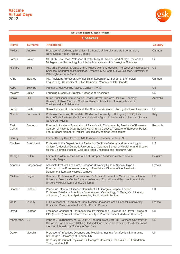

#### **Not yet registered? Register [here!](https://onlinexperiences.com/Launch/QReg.htm?ShowUUID=FF7ED214-FC1F-4C3F-93EA-01B771C41D68)**

| <b>Speakers</b> |                |                                                                                                                                                                                                                                                      |                |  |  |  |  |
|-----------------|----------------|------------------------------------------------------------------------------------------------------------------------------------------------------------------------------------------------------------------------------------------------------|----------------|--|--|--|--|
| <b>Name</b>     | <b>Surname</b> | <b>Affiliation(s)</b>                                                                                                                                                                                                                                | <b>Country</b> |  |  |  |  |
| Melissa         | Andrew         | Professor of Medicine (Geriatrics), Dalhousie University and staff geriatrician,<br>Nova Scotia Health, Halifax, Canada                                                                                                                              | Canada         |  |  |  |  |
| James           | <b>Baker</b>   | MD Ruth Dow Doan Professor, Director Mary H. Weiser Food Allergy Center and<br>Michigan Nanotechnology Institute for Medicine and the Biological Sciences                                                                                            | <b>US</b>      |  |  |  |  |
| <b>Richard</b>  | Beigi          | MD, MSc. President & CEO, UPMC Magee-Womens Hospital, Professor of Reproductive<br>Sciences, Department of Obstetrics, Gynecology & Reproductive Sciences, University of<br>Pittsburgh School of Medicine                                            | <b>US</b>      |  |  |  |  |
| Anna            | <b>Blakney</b> | MD, Assistant Professor, Michael Smith Laboratories, School of Biomedical<br>Engineering, University of British Columbia, Vancouver, BC Canada                                                                                                       | Canada         |  |  |  |  |
| Abby            | <b>Bownas</b>  | Manager, Adult Vaccine Access Coalition (AVAC)                                                                                                                                                                                                       | <b>US</b>      |  |  |  |  |
| Melody          | <b>Butler</b>  | Founding Executive Director, Nurses Who Vaccinate                                                                                                                                                                                                    | US             |  |  |  |  |
| Sonja           | Elia           | Nurse Practitioner, Immunisation Service, Royal Children's Hospital, Honorary<br>Research Fellow, Murdoch Children's Research Institute, Honorary Academic,<br>The University of Melbourne                                                           | Australia      |  |  |  |  |
| Jamie           | Foehl          | Senior Behavioral Researcher at The Center for Advanced Hindsight at Duke University                                                                                                                                                                 | US             |  |  |  |  |
| Claudio         | Franceschi     | Professor Emeritus, Alma Mater Studiorum University of Bologna (UNIBO) Italy,<br>Head of Lab Systems Medicine and Healthy Aging, Lobachevsky University, Nizhniy<br>Novgorod, Russia                                                                 | Italy          |  |  |  |  |
| Radu<br>Costin  | Ganescu        | President of National Association of Patients with Thalassaemia, President of Romanian<br>Coalition of Patients Organizations with Chronic Disease, Treasurer of European Patient<br>Forum, Board Member of Patient Focused of Medicines Development | Romania        |  |  |  |  |
| <b>Barney</b>   | Graham         | Former Deputy Director of the NIAID Vaccine Research Center at NIH                                                                                                                                                                                   | <b>US</b>      |  |  |  |  |
| <b>Matthew</b>  | Greenhawt      | Professor in the Department of Pediatrics Section of Allergy and Immunology at<br>Children's Hospital Colorado, University of Colorado School of Medicine, and director<br>for the Children's Hospital Colorado Food Challenge and Research Unit     | US             |  |  |  |  |
| George          | Griffin        | Former President of the Federation of European Academies of Medicine in<br>Brussels, Belgium                                                                                                                                                         | Belgium        |  |  |  |  |
| Adamos          | Hadjipanayis   | Associate Prof. of Paediatrics, European University Cyprus, Nicosia, Cyprus.<br>President of the European Academy of Paediatrics. Director of the Paediatric<br>Department, Larnaca Hospital, Larnaca                                                | Cyprus         |  |  |  |  |
| Michael         | Hogue          | Dean and Professor of Pharmacy and Professor of Preventive Medicine, Loma Linda<br>University. Director, Center for Interprofessional Education and Practice, Loma Linda<br>University Health, Loma Linda, California                                | <b>US</b>      |  |  |  |  |
| Shamez          | Ladhani        | Paediatric Infectious Disease Consultant, St George's Hospital London,<br>Professor Paediatric Infectious Diseases and Vaccinology, St George's University<br>of London, Consultant Epidemiologist, Public Health England                            | UK             |  |  |  |  |
| Odile           | Launay         | Full professor at University of Paris, Medical Doctor at Cochin Hospital, a university<br>Hospital in Paris, Coordinator at CIC Cochin Pasteur                                                                                                       | France         |  |  |  |  |
| David           | Leather        | Freelance Consultant Pharmaceutical Physician and Fellow of The Royal College of<br>GPs (London) and a Fellow of the Faculty of Pharmaceutical Medicine (London)                                                                                     | UK             |  |  |  |  |
| Margaret A.     | Liu            | Principal, ProTherimmune; CEO, PAX Therpeutics Adjunct Full Professor, University of<br>California, San Francisco (UCSF) Hedersdoktor, Karolinska Institute, Stockholm Board<br>member, International Society for Vaccines                           | <b>US</b>      |  |  |  |  |
| Derek           | Macallan       | Professor of Infectious Diseases and Medicine, Institute for Infection & Immunity,<br>St George's, University of London, UK<br>Honorary Consultant Physician, St George's University Hospitals NHS Foundation<br>Trust, London, UK                   | UK             |  |  |  |  |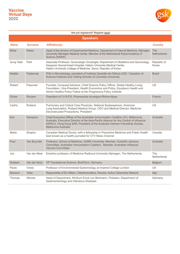

#### **Speakers Name Surname Affiliation(s) Country** Mihai Netea Head of the division of Experimental Medicine, Department of Internal Medicine, Nijmegen University Nijmegen Medical Center, Member of the Netherlands Royal Academy of Science (KNAW) The **Netherlands** Sung Taek Park Associate Professor, Gynecologic Oncologist, Department of Obstetrics and Gynecology, Kangnam Sacred-Heart Hospital, Hallym University Medical Center, Hallym University College of Medicine, Seoul, Republic of Korea Republic of Korea Natália Pasternak PhD in Microbiology, president of Instituto Questão de Ciência (IQC / Question of Science Institute) and Visiting Scholar at Columbia University Brazil Robert Popovian Founder, Conquest Advisors, Chief Science Policy Officer, Global Healthy Living Foundation, Vice-President, Health Economics and Policy, Equideum Health and Senior Healthy Policy Fellow at the Progressive Policy Institute US Olivier Rozaire President of l'U.R.P.S. Pharmacists Auvergne-Rhône-Alpes France Cedric Rutland Pulmonary and Critical Care Physician, National Spokesperson, American Lung Association, Rutland Medical Group, CEO and Medical Director, Medicine Deconstructed Productions, President US Kim Sampson Chief Executive Officer of the Australian Immunisation Coalition (IC), Melbourne, Australia, Executive Director of the Asia-Pacific Alliance for the Control of Influenza (APACI), Hong Kong SAR, President of the Australia-Vietnam Friendship Society, Melbourne Australia Australia Marla Shapiro Canadian Medical Doctor, with a fellowship in Preventive Medicine and Public Health best known as a health journalist for CTV News Channel Canada Paul Van Buynder Professor, School of Medicine, Griffith University. Member, Scientific advisory Committee, Australian Immunisation Coalition, Member, Australian Influenza Vaccine Committee Australia Jos Van der Meer Emeritus professor of Medicine Radboud University Nijmegen, The Netherlands The **Netherlands** Robbert Van der Most VP Translational Science, BioNTech, Germany Belgium Belgium Belgium Paolo Vineis Professor of Environmental Epidemiology at Imperial College London UK Mariano Votta Responsible of EU Affairs, Cittadinanzattiva, Director, Active Citizenship Network Italy Thomas Weinke Head of Department, Klinikum Ernst von Bertmann, Potsdam, Department of Gastroenterology and Infectious Diseases **Germany Not yet registered? Register [here!](https://onlinexperiences.com/Launch/QReg.htm?ShowUUID=FF7ED214-FC1F-4C3F-93EA-01B771C41D68)**